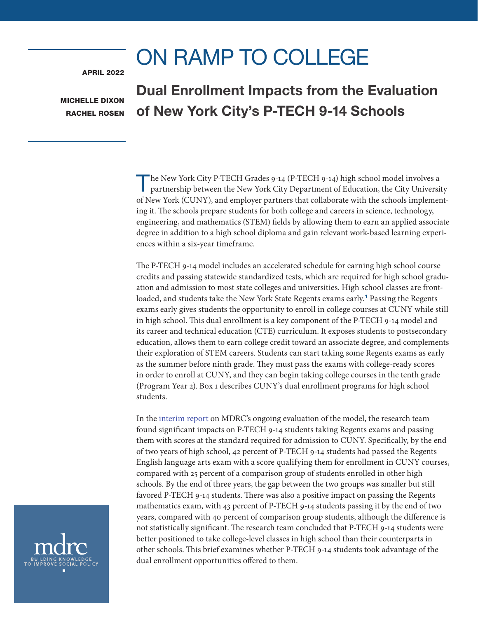# ON RAMP TO COLLEGE

<span id="page-0-0"></span>APRIL 2022

MICHELLE DIXON RACHEL ROSEN

# Dual Enrollment Impacts from the Evaluation of New York City's P-TECH 9-14 Schools

The New York City P-TECH Grades 9-14 (P-TECH 9-14) high school model involves a partnership between the New York City Department of Education, the City University of New York (CUNY), and employer partners that collaborate with the schools implementing it. The schools prepare students for both college and careers in science, technology, engineering, and mathematics (STEM) fields by allowing them to earn an applied associate degree in addition to a high school diploma and gain relevant work-based learning experiences within a six-year timeframe.

The P-TECH 9-14 model includes an accelerated schedule for earning high school course credits and passing statewide standardized tests, which are required for high school graduation and admission to most state colleges and universities. High school classes are frontloaded, and students take the New York State Regents exams early.[1](#page-7-0) Passing the Regents exams early gives students the opportunity to enroll in college courses at CUNY while still in high school. This dual enrollment is a key component of the P-TECH 9-14 model and its career and technical education (CTE) curriculum. It exposes students to postsecondary education, allows them to earn college credit toward an associate degree, and complements their exploration of STEM careers. Students can start taking some Regents exams as early as the summer before ninth grade. They must pass the exams with college-ready scores in order to enroll at CUNY, and they can begin taking college courses in the tenth grade (Program Year 2). Box 1 describes CUNY's dual enrollment programs for high school students.

In th[e interim report](https://www.mdrc.org/publication/bridging-school-work-divide) on MDRC's ongoing evaluation of the model, the research team found significant impacts on P-TECH 9-14 students taking Regents exams and passing them with scores at the standard required for admission to CUNY. Specifically, by the end of two years of high school, 42 percent of P-TECH 9-14 students had passed the Regents English language arts exam with a score qualifying them for enrollment in CUNY courses, compared with 25 percent of a comparison group of students enrolled in other high schools. By the end of three years, the gap between the two groups was smaller but still favored P-TECH 9-14 students. There was also a positive impact on passing the Regents mathematics exam, with 43 percent of P-TECH 9-14 students passing it by the end of two years, compared with 40 percent of comparison group students, although the difference is not statistically significant. The research team concluded that P-TECH 9-14 students were better positioned to take college-level classes in high school than their counterparts in other schools. This brief examines whether P-TECH 9-14 students took advantage of the dual enrollment opportunities offered to them.

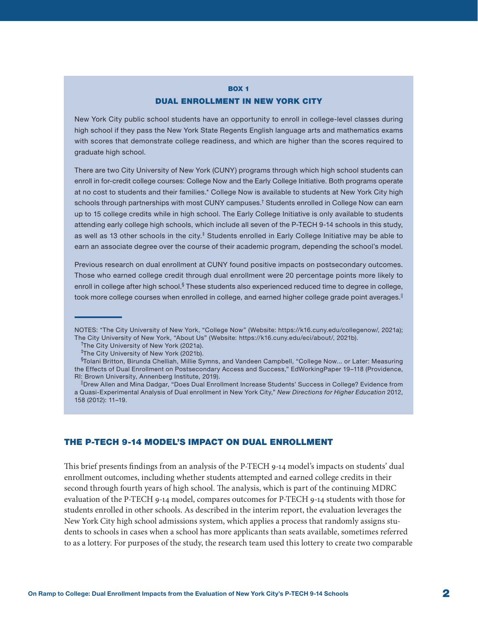## BOX 1 DUAL ENROLLMENT IN NEW YORK CITY

New York City public school students have an opportunity to enroll in college-level classes during high school if they pass the New York State Regents English language arts and mathematics exams with scores that demonstrate college readiness, and which are higher than the scores required to graduate high school.

There are two City University of New York (CUNY) programs through which high school students can enroll in for-credit college courses: College Now and the Early College Initiative. Both programs operate at no cost to students and their families.\* College Now is available to students at New York City high schools through partnerships with most CUNY campuses.† Students enrolled in College Now can earn up to 15 college credits while in high school. The Early College Initiative is only available to students attending early college high schools, which include all seven of the P-TECH 9-14 schools in this study, as well as 13 other schools in the city.<sup>‡</sup> Students enrolled in Early College Initiative may be able to earn an associate degree over the course of their academic program, depending the school's model.

Previous research on dual enrollment at CUNY found positive impacts on postsecondary outcomes. Those who earned college credit through dual enrollment were 20 percentage points more likely to enroll in college after high school.<sup>§</sup> These students also experienced reduced time to degree in college, took more college courses when enrolled in college, and earned higher college grade point averages.<sup>||</sup>

## THE P-TECH 9-14 MODEL'S IMPACT ON DUAL ENROLLMENT

This brief presents findings from an analysis of the P-TECH 9-14 model's impacts on students' dual enrollment outcomes, including whether students attempted and earned college credits in their second through fourth years of high school. The analysis, which is part of the continuing MDRC evaluation of the P-TECH 9-14 model, compares outcomes for P-TECH 9-14 students with those for students enrolled in other schools. As described in the interim report, the evaluation leverages the New York City high school admissions system, which applies a process that randomly assigns students to schools in cases when a school has more applicants than seats available, sometimes referred to as a lottery. For purposes of the study, the research team used this lottery to create two comparable

NOTES: \*The City University of New York, "College Now" (Website: https://k16.cuny.edu/collegenow/, 2021a); The City University of New York, "About Us" (Website: https://k16.cuny.edu/eci/about/, 2021b).

<sup>&</sup>lt;sup>†</sup>The City University of New York (2021a).

<sup>‡</sup> The City University of New York (2021b).

<sup>§</sup> Tolani Britton, Birunda Chelliah, Millie Symns, and Vandeen Campbell, "College Now... or Later: Measuring the Effects of Dual Enrollment on Postsecondary Access and Success," EdWorkingPaper 19–118 (Providence, RI: Brown University, Annenberg Institute, 2019).

<sup>||</sup>Drew Allen and Mina Dadgar, "Does Dual Enrollment Increase Students' Success in College? Evidence from a Quasi-Experimental Analysis of Dual enrollment in New York City," *New Directions for Higher Education* 2012, 158 (2012): 11–19.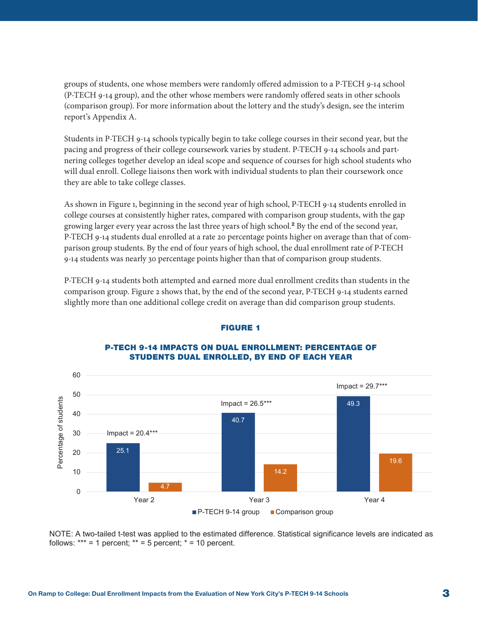<span id="page-2-0"></span>groups of students, one whose members were randomly offered admission to a P-TECH 9-14 school (P-TECH 9-14 group), and the other whose members were randomly offered seats in other schools (comparison group). For more information about the lottery and the study's design, see the interim report's Appendix A.

Students in P-TECH 9-14 schools typically begin to take college courses in their second year, but the pacing and progress of their college coursework varies by student. P-TECH 9-14 schools and partnering colleges together develop an ideal scope and sequence of courses for high school students who will dual enroll. College liaisons then work with individual students to plan their coursework once they are able to take college classes.

As shown in Figure 1, beginning in the second year of high school, P-TECH 9-14 students enrolled in college courses at consistently higher rates, compared with comparison group students, with the gap growing larger every year across the last three years of high school.[2](#page-7-0) By the end of the second year, P-TECH 9-14 students dual enrolled at a rate 20 percentage points higher on average than that of comparison group students. By the end of four years of high school, the dual enrollment rate of P-TECH 9-14 students was nearly 30 percentage points higher than that of comparison group students.

P-TECH 9-14 students both attempted and earned more dual enrollment credits than students in the comparison group. Figure 2 shows that, by the end of the second year, P-TECH 9-14 students earned slightly more than one additional college credit on average than did comparison group students.



#### FIGURE 1

#### **y**  STUDENTS DUAL ENROLLED, BY END OF EACH YEARP-TECH 9-14 IMPACTS ON DUAL ENROLLMENT: PERCENTAGE OF

NOTE: A two-tailed t-test was applied to the estimated difference. Statistical significance levels are indicated as follows:  $*** = 1$  percent;  $** = 5$  percent;  $* = 10$  percent.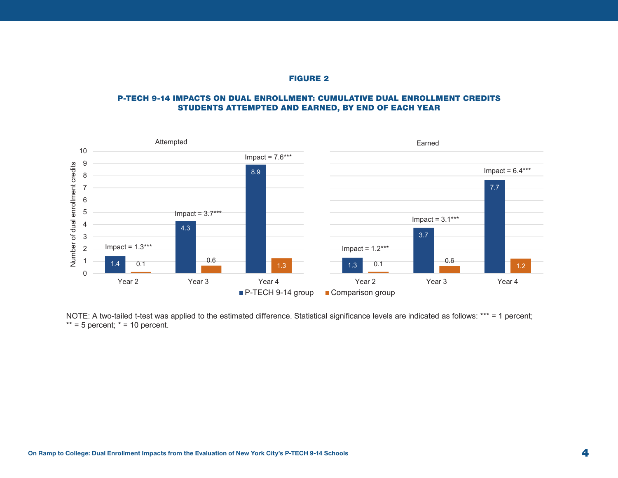#### FIGURE 2

#### P-TECH 9-14 IMPACTS ON DUAL ENROLLMENT: CUMULATIVE DUAL ENROLLMENT CREDITS STUDENTS ATTEMPTED AND EARNED, BY END OF EACH YEAR



NOTE: A two-tailed t-test was applied to the estimated difference. Statistical significance levels are indicated as follows: \*\*\* = 1 percent;  $** = 5$  percent;  $* = 10$  percent.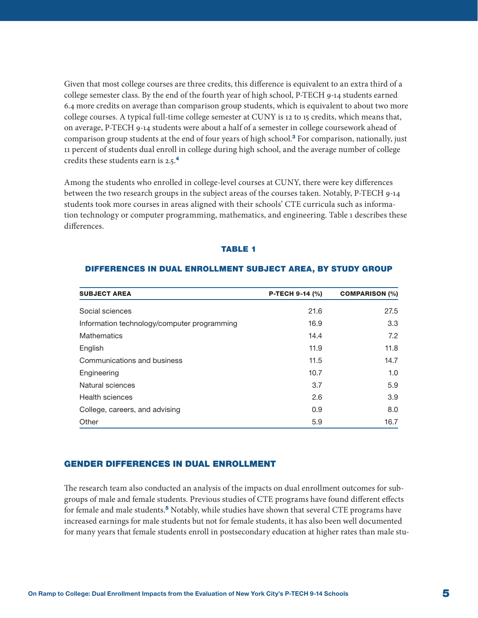<span id="page-4-0"></span>Given that most college courses are three credits, this difference is equivalent to an extra third of a college semester class. By the end of the fourth year of high school, P-TECH 9-14 students earned 6.4 more credits on average than comparison group students, which is equivalent to about two more college courses. A typical full-time college semester at CUNY is 12 to 15 credits, which means that, on average, P-TECH 9-14 students were about a half of a semester in college coursework ahead of comparison group students at the end of four years of high school.<sup>[3](#page-7-0)</sup> For comparison, nationally, just 11 percent of students dual enroll in college during high school, and the average number of college credits these students earn is 2.5.[4](#page-8-0)

Among the students who enrolled in college-level courses at CUNY, there were key differences between the two research groups in the subject areas of the courses taken. Notably, P-TECH 9-14 students took more courses in areas aligned with their schools' CTE curricula such as information technology or computer programming, mathematics, and engineering. Table 1 describes these differences.

#### TABLE 1

| <b>SUBJECT AREA</b>                         | P-TECH 9-14 (%) | <b>COMPARISON (%)</b> |
|---------------------------------------------|-----------------|-----------------------|
| Social sciences                             | 21.6            | 27.5                  |
| Information technology/computer programming | 16.9            | 3.3                   |
| <b>Mathematics</b>                          | 14.4            | 7.2                   |
| English                                     | 11.9            | 11.8                  |
| Communications and business                 | 11.5            | 14.7                  |
| Engineering                                 | 10.7            | 1.0                   |
| Natural sciences                            | 3.7             | 5.9                   |
| Health sciences                             | 2.6             | 3.9                   |
| College, careers, and advising              | 0.9             | 8.0                   |
| Other                                       | 5.9             | 16.7                  |

#### DIFFERENCES IN DUAL ENROLLMENT SUBJECT AREA, BY STUDY GROUP

#### GENDER DIFFERENCES IN DUAL ENROLLMENT

The research team also conducted an analysis of the impacts on dual enrollment outcomes for subgroups of male and female students. Previous studies of CTE programs have found different effects for female and male students.[5](#page-8-0) Notably, while studies have shown that several CTE programs have increased earnings for male students but not for female students, it has also been well documented for many years that female students enroll in postsecondary education at higher rates than male stu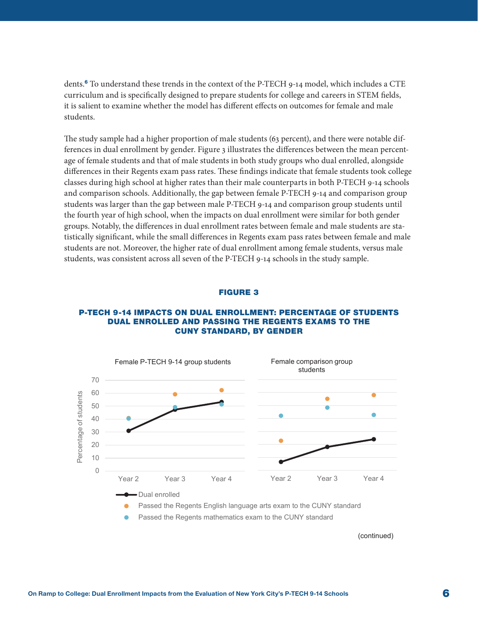<span id="page-5-0"></span>dents.[6](#page-8-0) To understand these trends in the context of the P-TECH 9-14 model, which includes a CTE curriculum and is specifically designed to prepare students for college and careers in STEM fields, it is salient to examine whether the model has different effects on outcomes for female and male students.

The study sample had a higher proportion of male students (63 percent), and there were notable differences in dual enrollment by gender. Figure 3 illustrates the differences between the mean percentage of female students and that of male students in both study groups who dual enrolled, alongside differences in their Regents exam pass rates. These findings indicate that female students took college classes during high school at higher rates than their male counterparts in both P-TECH 9-14 schools and comparison schools. Additionally, the gap between female P-TECH 9-14 and comparison group students was larger than the gap between male P-TECH 9-14 and comparison group students until the fourth year of high school, when the impacts on dual enrollment were similar for both gender groups. Notably, the differences in dual enrollment rates between female and male students are statistically significant, while the small differences in Regents exam pass rates between female and male students are not. Moreover, the higher rate of dual enrollment among female students, versus male students, was consistent across all seven of the P-TECH 9-14 schools in the study sample.

#### FIGURE 3

#### P-TECH 9-14 IMPACTS ON DUAL ENROLLMENT: PERCENTAGE OF STUDENTS DUAL ENROLLED AND PASSING THE REGENTS EXAMS TO THE CUNY STANDARD, BY GENDER



(continued)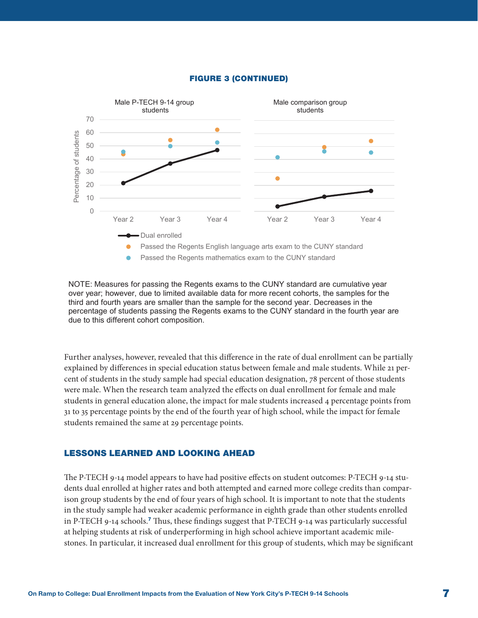

<span id="page-6-0"></span>

NOTE: Measures for passing the Regents exams to the CUNY standard are cumulative year over year; however, due to limited available data for more recent cohorts, the samples for the third and fourth years are smaller than the sample for the second year. Decreases in the percentage of students passing the Regents exams to the CUNY standard in the fourth year are due to this different cohort composition.

Further analyses, however, revealed that this difference in the rate of dual enrollment can be partially explained by differences in special education status between female and male students. While 21 percent of students in the study sample had special education designation, 78 percent of those students were male. When the research team analyzed the effects on dual enrollment for female and male students in general education alone, the impact for male students increased 4 percentage points from 31 to 35 percentage points by the end of the fourth year of high school, while the impact for female students remained the same at 29 percentage points.

#### LESSONS LEARNED AND LOOKING AHEAD

The P-TECH 9-14 model appears to have had positive effects on student outcomes: P-TECH 9-14 students dual enrolled at higher rates and both attempted and earned more college credits than comparison group students by the end of four years of high school. It is important to note that the students in the study sample had weaker academic performance in eighth grade than other students enrolled in P-TECH 9-14 schools.[7](#page-8-0) Thus, these findings suggest that P-TECH 9-14 was particularly successful at helping students at risk of underperforming in high school achieve important academic milestones. In particular, it increased dual enrollment for this group of students, which may be significant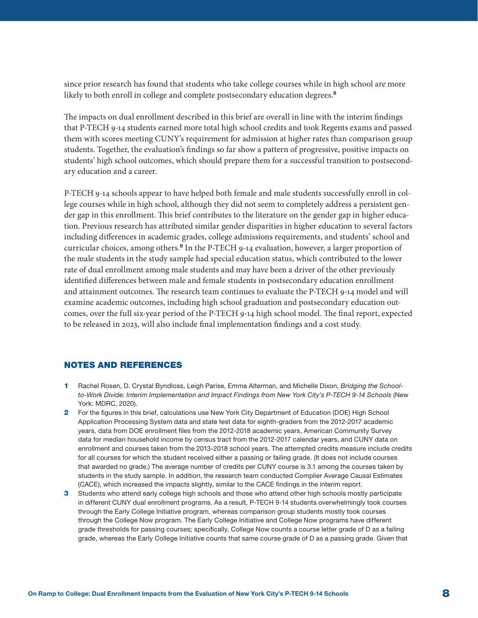<span id="page-7-0"></span>since prior research has found that students who take college courses while in high school are more likely to both enroll in college and complete postsecondary education degrees.<sup>[8](#page-8-0)</sup>

The impacts on dual enrollment described in this brief are overall in line with the interim findings that P-TECH 9-14 students earned more total high school credits and took Regents exams and passed them with scores meeting CUNY's requirement for admission at higher rates than comparison group students. Together, the evaluation's findings so far show a pattern of progressive, positive impacts on students' high school outcomes, which should prepare them for a successful transition to postsecondary education and a career.

P-TECH 9-14 schools appear to have helped both female and male students successfully enroll in college courses while in high school, although they did not seem to completely address a persistent gender gap in this enrollment. This brief contributes to the literature on the gender gap in higher education. Previous research has attributed similar gender disparities in higher education to several factors including differences in academic grades, college admissions requirements, and students' school and curricular choices, among others.[9](#page-8-0) In the P-TECH 9-14 evaluation, however, a larger proportion of the male students in the study sample had special education status, which contributed to the lower rate of dual enrollment among male students and may have been a driver of the other previously identified differences between male and female students in postsecondary education enrollment and attainment outcomes. The research team continues to evaluate the P-TECH 9-14 model and will examine academic outcomes, including high school graduation and postsecondary education outcomes, over the full six-year period of the P-TECH 9-14 high school model. The final report, expected to be released in 2023, will also include final implementation findings and a cost study.

#### NOTES AND REFERENCES

- [1](#page-0-0) Rachel Rosen, D. Crystal Byndloss, Leigh Parise, Emma Alterman, and Michelle Dixon, *Bridging the Schoolto-Work Divide: Interim Implementation and Impact Findings from New York City's P-TECH 9-14 Schools* (New York: MDRC, 2020).
- [2](#page-2-0) For the figures in this brief, calculations use New York City Department of Education (DOE) High School Application Processing System data and state test data for eighth-graders from the 2012-2017 academic years, data from DOE enrollment files from the 2012-2018 academic years, American Community Survey data for median household income by census tract from the 2012-2017 calendar years, and CUNY data on enrollment and courses taken from the 2013-2018 school years. The attempted credits measure include credits for all courses for which the student received either a passing or failing grade. (It does not include courses that awarded no grade.) The average number of credits per CUNY course is 3.1 among the courses taken by students in the study sample. In addition, the research team conducted Complier Average Causal Estimates (CACE), which increased the impacts slightly, similar to the CACE findings in the interim report.
- [3](#page-4-0) Students who attend early college high schools and those who attend other high schools mostly participate in different CUNY dual enrollment programs. As a result, P-TECH 9-14 students overwhelmingly took courses through the Early College Initiative program, whereas comparison group students mostly took courses through the College Now program. The Early College Initiative and College Now programs have different grade thresholds for passing courses; specifically, College Now counts a course letter grade of D as a failing grade, whereas the Early College Initiative counts that same course grade of D as a passing grade. Given that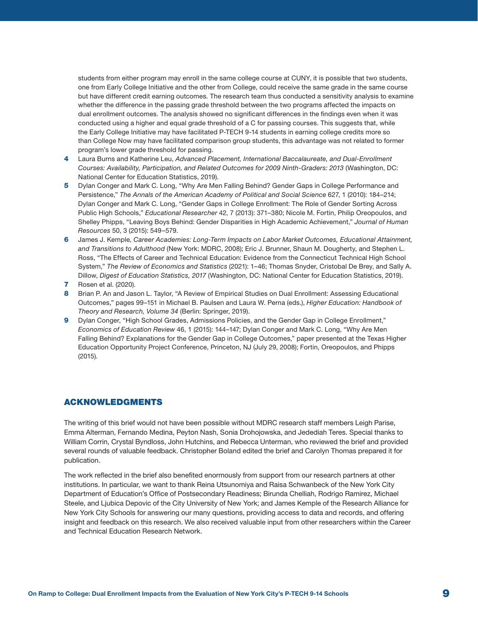<span id="page-8-0"></span>students from either program may enroll in the same college course at CUNY, it is possible that two students, one from Early College Initiative and the other from College, could receive the same grade in the same course but have different credit earning outcomes. The research team thus conducted a sensitivity analysis to examine whether the difference in the passing grade threshold between the two programs affected the impacts on dual enrollment outcomes. The analysis showed no significant differences in the findings even when it was conducted using a higher and equal grade threshold of a C for passing courses. This suggests that, while the Early College Initiative may have facilitated P-TECH 9-14 students in earning college credits more so than College Now may have facilitated comparison group students, this advantage was not related to former program's lower grade threshold for passing.

- [4](#page-4-0) Laura Burns and Katherine Leu, *Advanced Placement, International Baccalaureate, and Dual-Enrollment Courses: Availability, Participation, and Related Outcomes for 2009 Ninth-Graders: 2013* (Washington, DC: National Center for Education Statistics, 2019).
- [5](#page-4-0) Dylan Conger and Mark C. Long, "Why Are Men Falling Behind? Gender Gaps in College Performance and Persistence," *The Annals of the American Academy of Political and Social Science* 627, 1 (2010): 184–214; Dylan Conger and Mark C. Long, "Gender Gaps in College Enrollment: The Role of Gender Sorting Across Public High Schools," *Educational Researcher* 42, 7 (2013): 371–380; Nicole M. Fortin, Philip Oreopoulos, and Shelley Phipps, "Leaving Boys Behind: Gender Disparities in High Academic Achievement," *Journal of Human Resources* 50, 3 (2015): 549–579.
- [6](#page-5-0) James J. Kemple, *Career Academies: Long-Term Impacts on Labor Market Outcomes, Educational Attainment, and Transitions to Adulthood* (New York: MDRC, 2008); Eric J. Brunner, Shaun M. Dougherty, and Stephen L. Ross, "The Effects of Career and Technical Education: Evidence from the Connecticut Technical High School System," *The Review of Economics and Statistics* (2021): 1–46; Thomas Snyder, Cristobal De Brey, and Sally A. Dillow, *Digest of Education Statistics, 2017* (Washington, DC: National Center for Education Statistics, 2019).
- [7](#page-6-0) Rosen et al. (2020).
- [8](#page-7-0) Brian P. An and Jason L. Taylor, "A Review of Empirical Studies on Dual Enrollment: Assessing Educational Outcomes," pages 99–151 in Michael B. Paulsen and Laura W. Perna (eds.), *Higher Education: Handbook of Theory and Research, Volume 34* (Berlin: Springer, 2019).
- [9](#page-7-0) Dylan Conger, "High School Grades, Admissions Policies, and the Gender Gap in College Enrollment," *Economics of Education Review* 46, 1 (2015): 144–147; Dylan Conger and Mark C. Long, "Why Are Men Falling Behind? Explanations for the Gender Gap in College Outcomes," paper presented at the Texas Higher Education Opportunity Project Conference, Princeton, NJ (July 29, 2008); Fortin, Oreopoulos, and Phipps (2015).

#### ACKNOWLEDGMENTS

The writing of this brief would not have been possible without MDRC research staff members Leigh Parise, Emma Alterman, Fernando Medina, Peyton Nash, Sonia Drohojowska, and Jedediah Teres. Special thanks to William Corrin, Crystal Byndloss, John Hutchins, and Rebecca Unterman, who reviewed the brief and provided several rounds of valuable feedback. Christopher Boland edited the brief and Carolyn Thomas prepared it for publication.

The work reflected in the brief also benefited enormously from support from our research partners at other institutions. In particular, we want to thank Reina Utsunomiya and Raisa Schwanbeck of the New York City Department of Education's Office of Postsecondary Readiness; Birunda Chelliah, Rodrigo Ramirez, Michael Steele, and Ljubica Depovic of the City University of New York; and James Kemple of the Research Alliance for New York City Schools for answering our many questions, providing access to data and records, and offering insight and feedback on this research. We also received valuable input from other researchers within the Career and Technical Education Research Network.